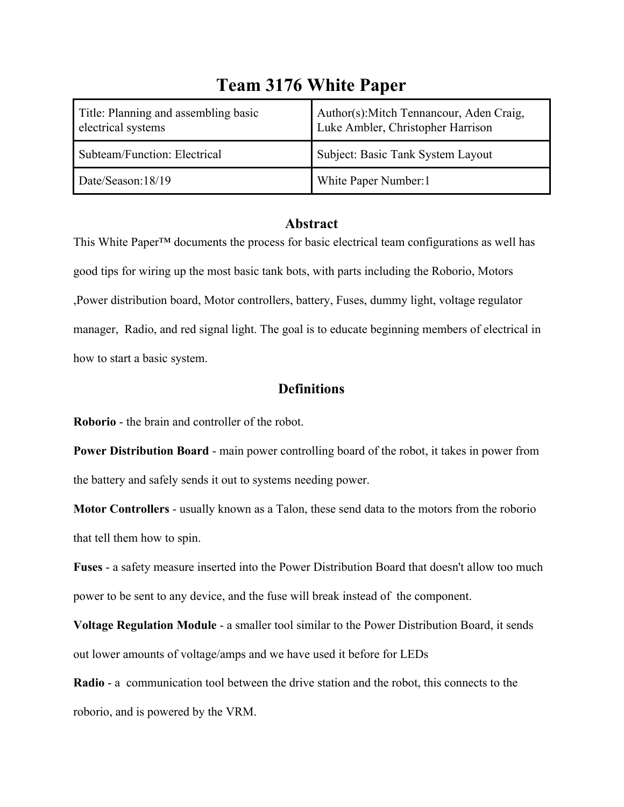| Title: Planning and assembling basic<br>electrical systems | Author(s): Mitch Tennancour, Aden Craig,<br>Luke Ambler, Christopher Harrison |
|------------------------------------------------------------|-------------------------------------------------------------------------------|
| Subteam/Function: Electrical                               | Subject: Basic Tank System Layout                                             |
| Date/Season:18/19                                          | White Paper Number:1                                                          |

# **Team 3176 White Paper**

### **Abstract**

This White Paper™ documents the process for basic electrical team configurations as well has good tips for wiring up the most basic tank bots, with parts including the Roborio, Motors ,Power distribution board, Motor controllers, battery, Fuses, dummy light, voltage regulator manager, Radio, and red signal light. The goal is to educate beginning members of electrical in how to start a basic system.

## **Definitions**

**Roborio** - the brain and controller of the robot.

**Power Distribution Board** - main power controlling board of the robot, it takes in power from the battery and safely sends it out to systems needing power.

**Motor Controllers** - usually known as a Talon, these send data to the motors from the roborio that tell them how to spin.

**Fuses** - a safety measure inserted into the Power Distribution Board that doesn't allow too much power to be sent to any device, and the fuse will break instead of the component.

**Voltage Regulation Module** - a smaller tool similar to the Power Distribution Board, it sends out lower amounts of voltage/amps and we have used it before for LEDs

**Radio** - a communication tool between the drive station and the robot, this connects to the roborio, and is powered by the VRM.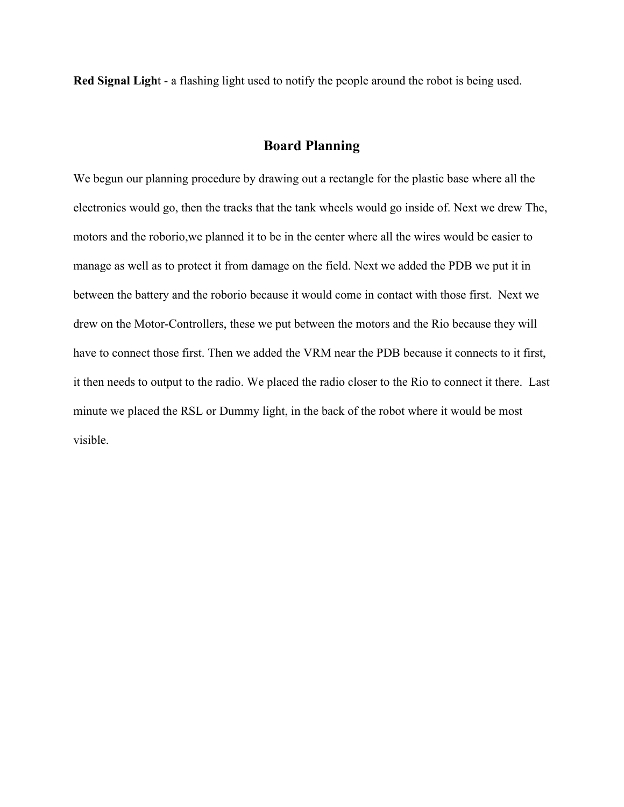**Red Signal Ligh**t - a flashing light used to notify the people around the robot is being used.

### **Board Planning**

We begun our planning procedure by drawing out a rectangle for the plastic base where all the electronics would go, then the tracks that the tank wheels would go inside of. Next we drew The, motors and the roborio,we planned it to be in the center where all the wires would be easier to manage as well as to protect it from damage on the field. Next we added the PDB we put it in between the battery and the roborio because it would come in contact with those first. Next we drew on the Motor-Controllers, these we put between the motors and the Rio because they will have to connect those first. Then we added the VRM near the PDB because it connects to it first, it then needs to output to the radio. We placed the radio closer to the Rio to connect it there. Last minute we placed the RSL or Dummy light, in the back of the robot where it would be most visible.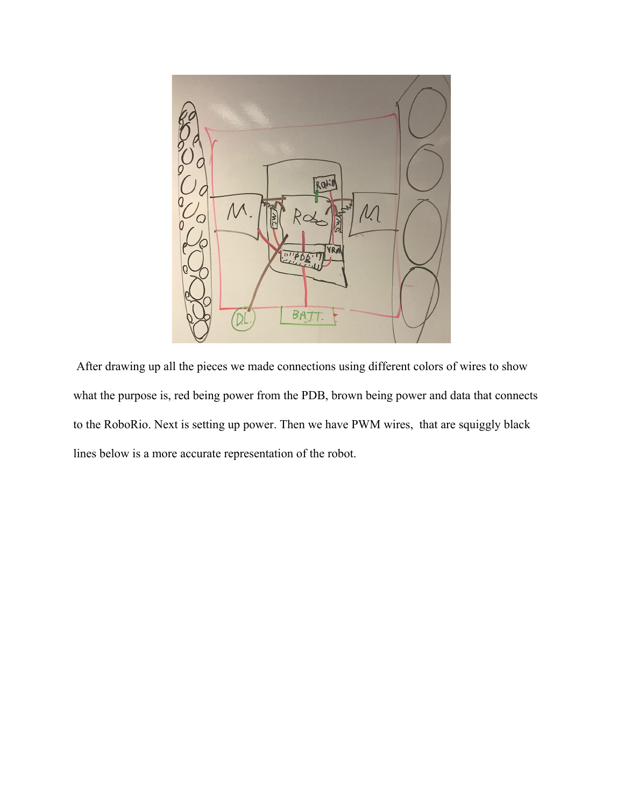

 After drawing up all the pieces we made connections using different colors of wires to show what the purpose is, red being power from the PDB, brown being power and data that connects to the RoboRio. Next is setting up power. Then we have PWM wires, that are squiggly black lines below is a more accurate representation of the robot.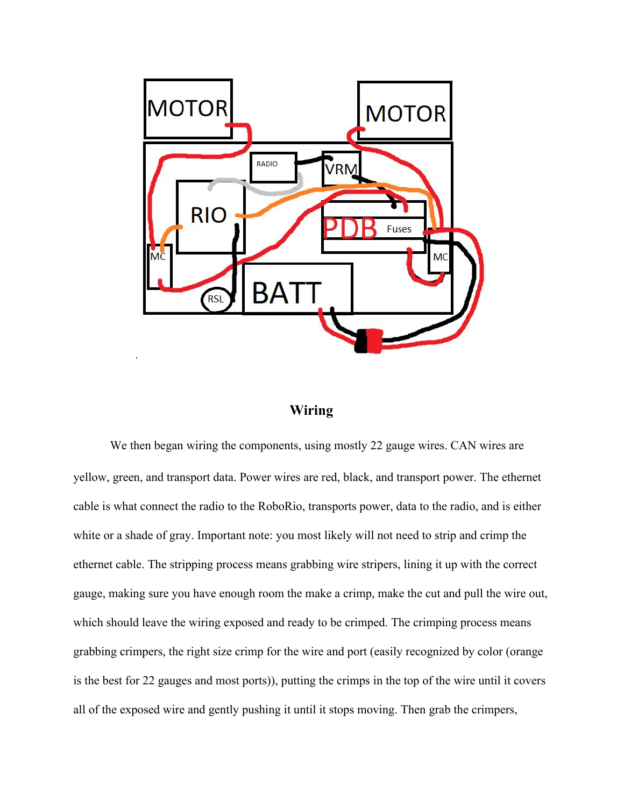

## **Wiring**

We then began wiring the components, using mostly 22 gauge wires. CAN wires are yellow, green, and transport data. Power wires are red, black, and transport power. The ethernet cable is what connect the radio to the RoboRio, transports power, data to the radio, and is either white or a shade of gray. Important note: you most likely will not need to strip and crimp the ethernet cable. The stripping process means grabbing wire stripers, lining it up with the correct gauge, making sure you have enough room the make a crimp, make the cut and pull the wire out, which should leave the wiring exposed and ready to be crimped. The crimping process means grabbing crimpers, the right size crimp for the wire and port (easily recognized by color (orange is the best for 22 gauges and most ports)), putting the crimps in the top of the wire until it covers all of the exposed wire and gently pushing it until it stops moving. Then grab the crimpers,